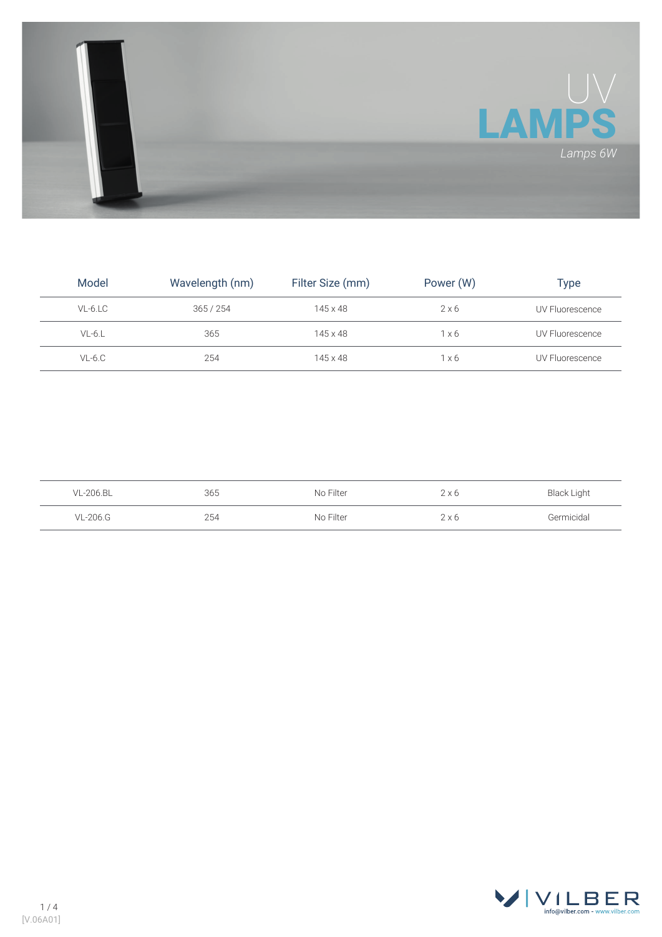

| Model    | Wavelength (nm) | Filter Size (mm) | Power (W)    | Type            |
|----------|-----------------|------------------|--------------|-----------------|
| VL-6.LC  | 365/254         | $145 \times 48$  | $2 \times 6$ | UV Fluorescence |
| $VL-6.L$ | 365             | $145 \times 48$  | 1x6          | UV Fluorescence |
| $VL-6.C$ | 254             | $145 \times 48$  | $1 \times 6$ | UV Fluorescence |

| VL-206.BL | 365 | No Filter | $2 \times 6$ | <b>Black Light</b> |
|-----------|-----|-----------|--------------|--------------------|
| VL-206.G  | 254 | No Filter | $2 \times 6$ | Germicidal         |

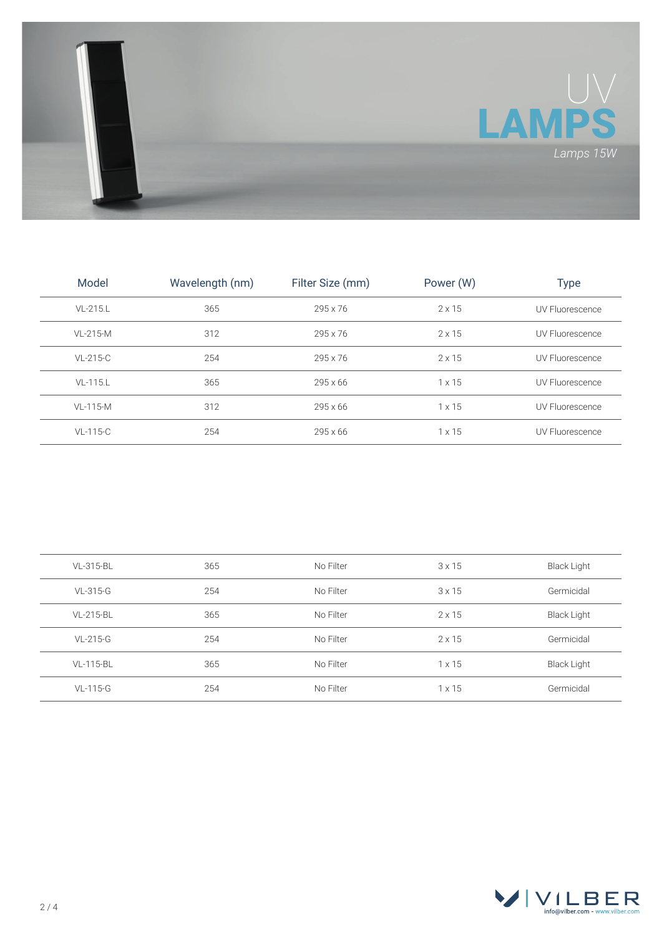

| Model          | Wavelength (nm) | Filter Size (mm) | Power (W)     | Type            |
|----------------|-----------------|------------------|---------------|-----------------|
| $VI - 215.L$   | 365             | 295 x 76         | $2 \times 15$ | UV Fluorescence |
| $VI - 215 - M$ | 312             | 295 x 76         | $2 \times 15$ | UV Fluorescence |
| VL-215-C       | 254             | 295 x 76         | $2 \times 15$ | UV Fluorescence |
| $VL-115.L$     | 365             | $295 \times 66$  | $1 \times 15$ | UV Fluorescence |
| $VL-115-M$     | 312             | $295 \times 66$  | $1 \times 15$ | UV Fluorescence |
| $VL-115-C$     | 254             | $295 \times 66$  | $1 \times 15$ | UV Fluorescence |

| VL-315-BL | 365 | No Filter | 3x15          | Black Light        |
|-----------|-----|-----------|---------------|--------------------|
| VL-315-G  | 254 | No Filter | $3 \times 15$ | Germicidal         |
| VL-215-BL | 365 | No Filter | $2 \times 15$ | Black Light        |
| VL-215-G  | 254 | No Filter | $2 \times 15$ | Germicidal         |
| VL-115-BL | 365 | No Filter | $1 \times 15$ | <b>Black Light</b> |
| VL-115-G  | 254 | No Filter | $1 \times 15$ | Germicidal         |

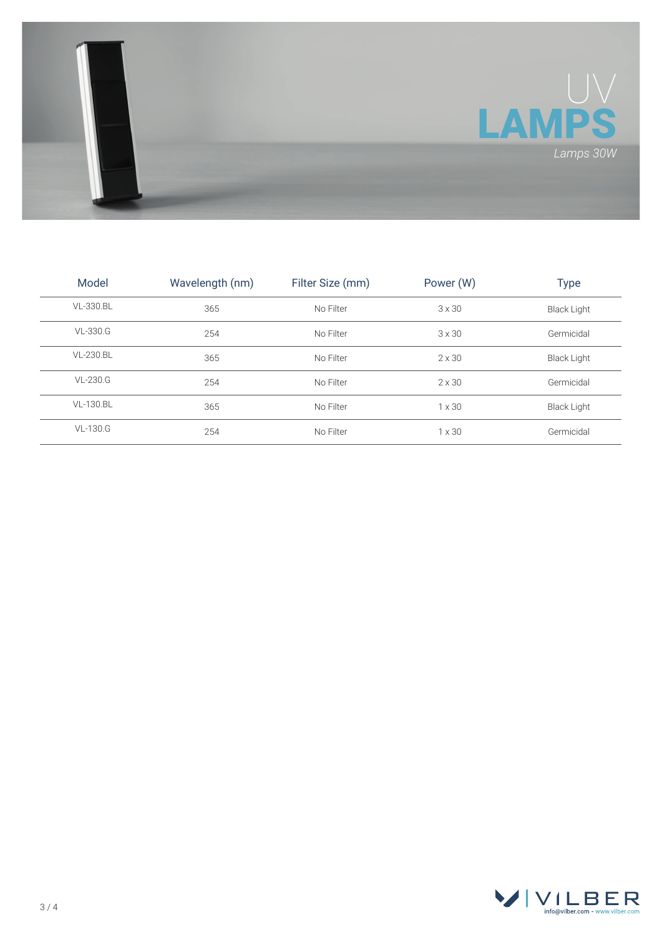

| Model           | Wavelength (nm) | Filter Size (mm) | Power (W)     | Type               |
|-----------------|-----------------|------------------|---------------|--------------------|
| VL-330.BL       | 365             | No Filter        | $3 \times 30$ | <b>Black Light</b> |
| VL-330.G        | 254             | No Filter        | $3 \times 30$ | Germicidal         |
| VL-230.BL       | 365             | No Filter        | $2 \times 30$ | <b>Black Light</b> |
| $VL-230.G$      | 254             | No Filter        | $2 \times 30$ | Germicidal         |
| VL-130.BL       | 365             | No Filter        | $1 \times 30$ | <b>Black Light</b> |
| <b>VL-130.G</b> | 254             | No Filter        | $1 \times 30$ | Germicidal         |